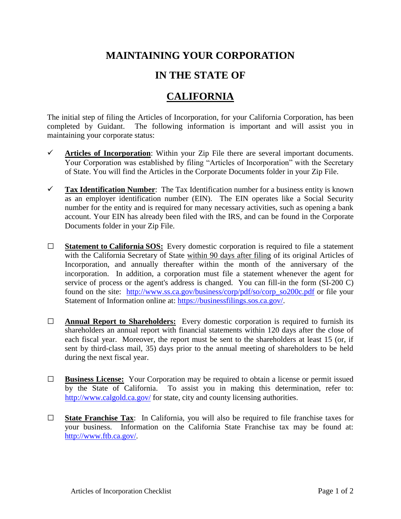## **MAINTAINING YOUR CORPORATION**

## **IN THE STATE OF**

## **CALIFORNIA**

The initial step of filing the Articles of Incorporation, for your California Corporation, has been completed by Guidant. The following information is important and will assist you in maintaining your corporate status:

- $\checkmark$  Articles of Incorporation: Within your Zip File there are several important documents. Your Corporation was established by filing "Articles of Incorporation" with the Secretary of State. You will find the Articles in the Corporate Documents folder in your Zip File.
- $\checkmark$  **Tax Identification Number:** The Tax Identification number for a business entity is known as an employer identification number (EIN). The EIN operates like a Social Security number for the entity and is required for many necessary activities, such as opening a bank account. Your EIN has already been filed with the IRS, and can be found in the Corporate Documents folder in your Zip File.
- **□ Statement to California SOS:** Every domestic corporation is required to file a statement with the California Secretary of State within 90 days after filing of its original Articles of Incorporation, and annually thereafter within the month of the anniversary of the incorporation. In addition, a corporation must file a statement whenever the agent for service of process or the agent's address is changed. You can fill-in the form (SI-200 C) found on the site: [http://www.ss.ca.gov/business/corp/pdf/so/corp\\_so200c.pdf](http://www.ss.ca.gov/business/corp/pdf/so/corp_so200c.pdf) or file your Statement of Information online at: [https://businessfilings.sos.ca.gov/.](https://businessfilings.sos.ca.gov/)
- **□ Annual Report to Shareholders:** Every domestic corporation is required to furnish its shareholders an annual report with financial statements within 120 days after the close of each fiscal year. Moreover, the report must be sent to the shareholders at least 15 (or, if sent by third-class mail, 35) days prior to the annual meeting of shareholders to be held during the next fiscal year.
- **□ Business License:** Your Corporation may be required to obtain a license or permit issued by the State of California. To assist you in making this determination, refer to: <http://www.calgold.ca.gov/> for state, city and county licensing authorities.
- **□ State Franchise Tax**: In California, you will also be required to file franchise taxes for your business. Information on the California State Franchise tax may be found at: [http://www.ftb.ca.gov/.](http://www.ftb.ca.gov/)